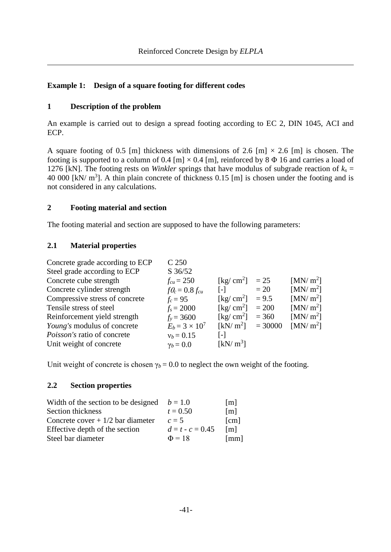# **Example 1: Design of a square footing for different codes**

## **1 Description of the problem**

An example is carried out to design a spread footing according to EC 2, DIN 1045, ACI and ECP.

A square footing of 0.5 [m] thickness with dimensions of 2.6 [m]  $\times$  2.6 [m] is chosen. The footing is supported to a column of 0.4 [m]  $\times$  0.4 [m], reinforced by 8  $\Phi$  16 and carries a load of 1276 [kN]. The footing rests on *Winkler* springs that have modulus of subgrade reaction of  $k_s$  = 40 000 [kN/  $m<sup>3</sup>$ ]. A thin plain concrete of thickness 0.15 [m] is chosen under the footing and is not considered in any calculations.

## **2 Footing material and section**

The footing material and section are supposed to have the following parameters:

### **2.1 Material properties**

| Concrete grade according to ECP | C 250                 |                                        |           |                      |
|---------------------------------|-----------------------|----------------------------------------|-----------|----------------------|
| Steel grade according to ECP    | S 36/52               |                                        |           |                      |
| Concrete cube strength          | $f_{cu} = 250$        | $\lceil \text{kg}/ \text{cm}^2 \rceil$ | $=25$     | [MN/m <sup>2</sup> ] |
| Concrete cylinder strength      | $fQ_c = 0.8 f_{cu}$   | $\lceil - \rceil$                      | $=20$     | [MN/m <sup>2</sup> ] |
| Compressive stress of concrete  | $f_c = 95$            | [kg/ $cm2$ ]                           | $= 9.5$   | [MN/m <sup>2</sup> ] |
| Tensile stress of steel         | $f_s = 2000$          | [kg/ $cm2$ ]                           | $= 200$   | [MN/m <sup>2</sup> ] |
| Reinforcement yield strength    | $f_v = 3600$          | $\lceil \text{kg}/ \text{cm}^2 \rceil$ | $= 360$   | [MN/m <sup>2</sup> ] |
| Young's modulus of concrete     | $E_b = 3 \times 10^7$ | [kN/m <sup>2</sup> ]                   | $= 30000$ | [MN/m <sup>2</sup> ] |
| Poisson's ratio of concrete     | $v_b = 0.15$          | [-]                                    |           |                      |
| Unit weight of concrete         | $\gamma_b = 0.0$      | [kN/m <sup>3</sup> ]                   |           |                      |
|                                 |                       |                                        |           |                      |

Unit weight of concrete is chosen  $\gamma_b = 0.0$  to neglect the own weight of the footing.

### **2.2 Section properties**

| Width of the section to be designed $b = 1.0$ |                    | $\lceil m \rceil$    |
|-----------------------------------------------|--------------------|----------------------|
| Section thickness                             | $t = 0.50$         | [m]                  |
| Concrete cover $+1/2$ bar diameter            | $c=5$              | [cm]                 |
| Effective depth of the section                | $d = t - c = 0.45$ | $\lceil m \rceil$    |
| Steel bar diameter                            | $\Phi = 18$        | $\lceil$ mm $\rceil$ |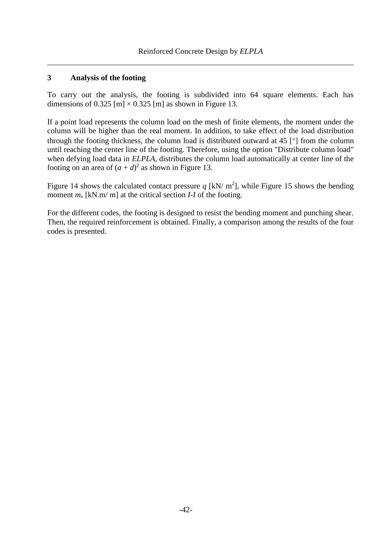## **3 Analysis of the footing**

To carry out the analysis, the footing is subdivided into 64 square elements. Each has dimensions of 0.325 [m]  $\times$  0.325 [m] as shown in [Figure 13.](#page-2-0)

If a point load represents the column load on the mesh of finite elements, the moment under the column will be higher than the real moment. In addition, to take effect of the load distribution through the footing thickness, the column load is distributed outward at 45  $\lceil \circ \rceil$  from the column until reaching the center line of the footing. Therefore, using the option "Distribute column load" when defying load data in *ELPLA*, distributes the column load automatically at center line of the footing on an area of  $(a + d)^2$  as shown in [Figure 13.](#page-2-0)

[Figure 14](#page-3-0) shows the calculated contact pressure  $q$  [kN/ m<sup>2</sup>], while [Figure 15](#page-3-1) shows the bending moment  $m_x$  [kN.m/ m] at the critical section *I-I* of the footing.

For the different codes, the footing is designed to resist the bending moment and punching shear. Then, the required reinforcement is obtained. Finally, a comparison among the results of the four codes is presented.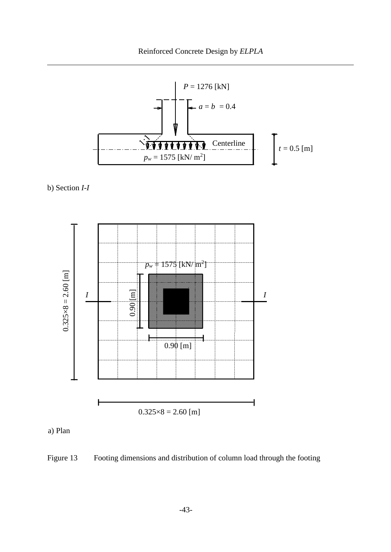

b) Section *I*-*I*



a) Plan

<span id="page-2-0"></span>Figure 13 Footing dimensions and distribution of column load through the footing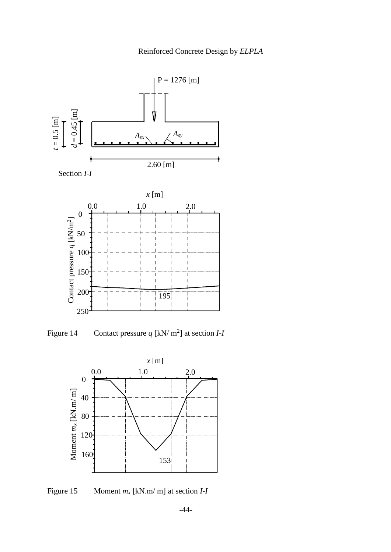



<span id="page-3-0"></span>Figure 14 Contact pressure  $q$  [kN/ m<sup>2</sup>] at section *I-I* 



<span id="page-3-1"></span>Figure 15 Moment *m<sup>x</sup>* [kN.m/ m] at section *I*-*I*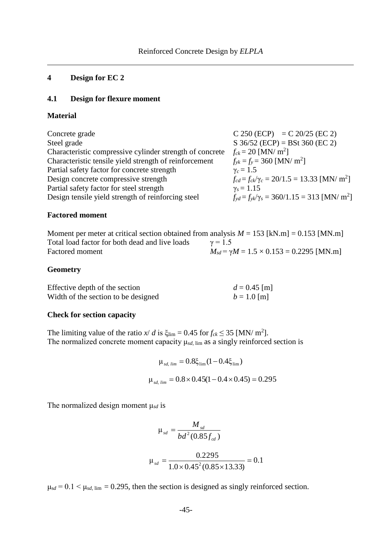#### **4 Design for EC 2**

## **4.1 Design for flexure moment**

#### **Material**

| Concrete grade                                           | $C 250 (ECP) = C 20/25 (EC 2)$                                    |
|----------------------------------------------------------|-------------------------------------------------------------------|
| Steel grade                                              | $S$ 36/52 (ECP) = BSt 360 (EC 2)                                  |
| Characteristic compressive cylinder strength of concrete | $f_{ck} = 20$ [MN/ m <sup>2</sup> ]                               |
| Characteristic tensile yield strength of reinforcement   | $f_{vk} = f_v = 360$ [MN/ m <sup>2</sup> ]                        |
| Partial safety factor for concrete strength              | $\gamma_c = 1.5$                                                  |
| Design concrete compressive strength                     | $f_{cd} = f_{ck}/\gamma_c = 20/1.5 = 13.33$ [MN/ m <sup>2</sup> ] |
| Partial safety factor for steel strength                 | $\gamma_s = 1.15$                                                 |
| Design tensile yield strength of reinforcing steel       | $f_{vd} = f_{vk}/\gamma_s = 360/1.15 = 313$ [MN/ m <sup>2</sup> ] |
|                                                          |                                                                   |

#### **Factored moment**

| Moment per meter at critical section obtained from analysis $M = 153$ [kN.m] = 0.153 [MN.m] |                                                        |
|---------------------------------------------------------------------------------------------|--------------------------------------------------------|
| Total load factor for both dead and live loads                                              | $\gamma = 1.5$                                         |
| Factored moment                                                                             | $M_{sd} = \gamma M = 1.5 \times 0.153 = 0.2295$ [MN.m] |

### **Geometry**

| Effective depth of the section      | $d = 0.45$ [m] |
|-------------------------------------|----------------|
| Width of the section to be designed | $b = 1.0$ [m]  |

### **Check for section capacity**

The limiting value of the ratio  $x/d$  is  $\xi_{\text{lim}} = 0.45$  for  $f_{ck} \le 35$  [MN/ m<sup>2</sup>]. The normalized concrete moment capacity μ*sd*, lim as a singly reinforced section is

$$
\mu_{sd, \, lim} = 0.8 \xi_{\text{lim}} (1 - 0.4 \xi_{\text{lim}})
$$

$$
\mu_{sd, \, lim} = 0.8 \times 0.45 (1 - 0.4 \times 0.45) = 0.295
$$

The normalized design moment μ*sd* is

$$
\mu_{sd} = \frac{M_{sd}}{bd^2 (0.85 f_{cd})}
$$

$$
\mu_{sd} = \frac{0.2295}{1.0 \times 0.45^2 (0.85 \times 13.33)} = 0.1
$$

 $\mu_{sd} = 0.1 < \mu_{sd, \text{lim}} = 0.295$ , then the section is designed as singly reinforced section.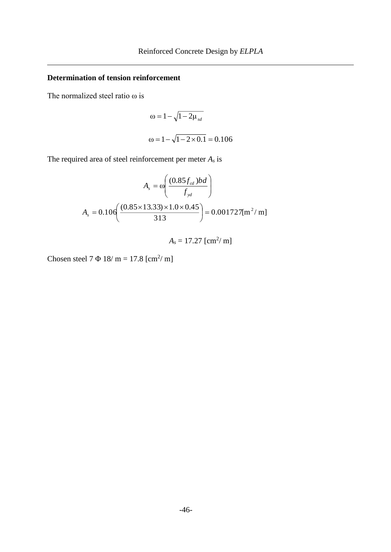# **Determination of tension reinforcement**

The normalized steel ratio  $\omega$  is

$$
\omega = 1 - \sqrt{1 - 2\mu_{sd}}
$$
  

$$
\omega = 1 - \sqrt{1 - 2 \times 0.1} = 0.106
$$

The required area of steel reinforcement per meter *A<sup>s</sup>* is

$$
A_{s} = \omega \left( \frac{(0.85 f_{cd})bd}{f_{yd}} \right)
$$

$$
A_{s} = 0.106 \left( \frac{(0.85 \times 13.33) \times 1.0 \times 0.45}{313} \right) = 0.001727 [m^{2}/ m]
$$

 $A_s = 17.27$  [cm<sup>2</sup>/ m]

Chosen steel  $7 \Phi 18/m = 17.8$  [cm<sup>2</sup>/m]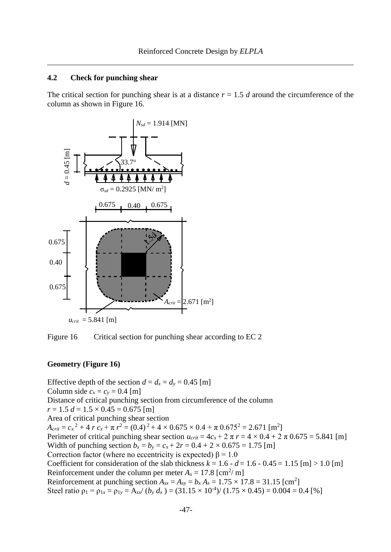The critical section for punching shear is at a distance  $r = 1.5$  *d* around the circumference of the column as shown in [Figure 16.](#page-6-0)



<span id="page-6-0"></span>Figure 16 Critical section for punching shear according to EC 2

#### **Geometry (Figure 16)**

Effective depth of the section  $d = d_x = d_y = 0.45$  [m] Column side  $c_x = c_y = 0.4$  [m] Distance of critical punching section from circumference of the column  $r = 1.5 d = 1.5 \times 0.45 = 0.675$  [m] Area of critical punching shear section  $A_{crit} = c_x^2 + 4 r c_x + \pi r^2 = (0.4)^2 + 4 \times 0.675 \times 0.4 + \pi 0.675^2 = 2.671$  [m<sup>2</sup>] Perimeter of critical punching shear section  $u_{crit} = 4c_x + 2 \pi r = 4 \times 0.4 + 2 \pi 0.675 = 5.841$  [m] Width of punching section  $b_x = b_y = c_x + 2r = 0.4 + 2 \times 0.675 = 1.75$  [m] Correction factor (where no eccentricity is expected)  $\beta = 1.0$ Coefficient for consideration of the slab thickness  $k = 1.6 - d = 1.6 - 0.45 = 1.15$  [m]  $> 1.0$  [m] Reinforcement under the column per meter  $A_s = 17.8$  [cm<sup>2</sup>/m] Reinforcement at punching section  $A_{sx} = A_{sy} = b_x A_s = 1.75 \times 17.8 = 31.15$  [cm<sup>2</sup>] Steel ratio  $\rho_1 = \rho_{1x} = \rho_{1y} = A_{sx} / (b_y \, d_x) = (31.15 \times 10^{-4}) / (1.75 \times 0.45) = 0.004 = 0.4$  [%]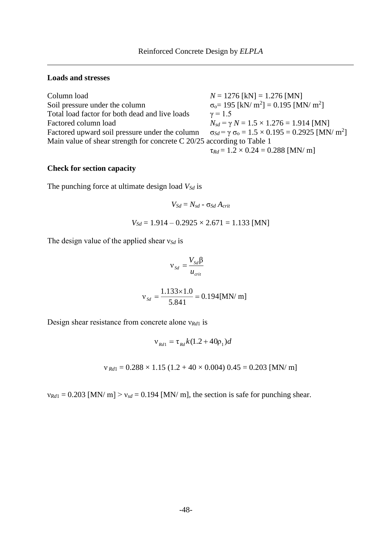### **Loads and stresses**

| Column load                                                              | $N = 1276$ [kN] = 1.276 [MN]                                                      |
|--------------------------------------------------------------------------|-----------------------------------------------------------------------------------|
| Soil pressure under the column                                           | $\sigma_0 = 195$ [kN/ m <sup>2</sup> ] = 0.195 [MN/ m <sup>2</sup> ]              |
| Total load factor for both dead and live loads                           | $\gamma = 1.5$                                                                    |
| Factored column load                                                     | $N_{sd} = \gamma N = 1.5 \times 1.276 = 1.914$ [MN]                               |
| Factored upward soil pressure under the column                           | $\sigma_{Sd} = \gamma \sigma_0 = 1.5 \times 0.195 = 0.2925$ [MN/ m <sup>2</sup> ] |
| Main value of shear strength for concrete $C$ 20/25 according to Table 1 |                                                                                   |
|                                                                          | $\tau_{Rd} = 1.2 \times 0.24 = 0.288$ [MN/ m]                                     |

## **Check for section capacity**

The punching force at ultimate design load *VSd* is

$$
V_{Sd}=N_{sd}-\sigma_{Sd}\,A_{crit}
$$

$$
V_{Sd} = 1.914 - 0.2925 \times 2.671 = 1.133
$$
 [MN]

The design value of the applied shear ν*Sd* is

$$
v_{Sd} = \frac{V_{Sd} \beta}{u_{crit}}
$$
  

$$
v_{Sd} = \frac{1.133 \times 1.0}{5.841} = 0.194 \text{ [MN/m]}
$$

Design shear resistance from concrete alone ν*Rd*<sup>1</sup> is

$$
v_{Rd1} = \tau_{Rd} k (1.2 + 40 \rho_1) d
$$

 $v_{\text{Rd1}} = 0.288 \times 1.15 \ (1.2 + 40 \times 0.004) \ 0.45 = 0.203 \ [MN/m]$ 

 $v_{Rd1} = 0.203$  [MN/ m]  $> v_{sd} = 0.194$  [MN/ m], the section is safe for punching shear.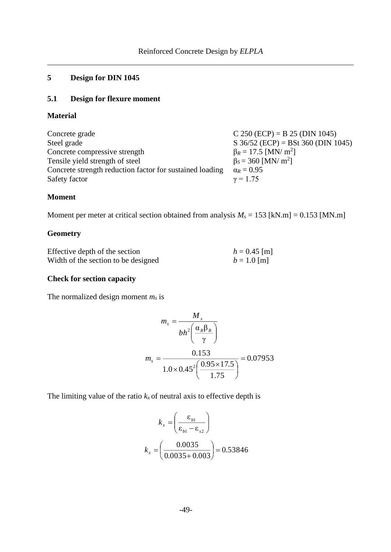# **5 Design for DIN 1045**

# **5.1 Design for flexure moment**

#### **Material**

| Concrete grade                                           | $C 250 (ECP) = B 25 (DIN 1045)$        |
|----------------------------------------------------------|----------------------------------------|
| Steel grade                                              | S $36/52$ (ECP) = BSt $360$ (DIN 1045) |
| Concrete compressive strength                            | $\beta_R = 17.5$ [MN/ m <sup>2</sup> ] |
| Tensile yield strength of steel                          | $\beta_s = 360$ [MN/ m <sup>2</sup> ]  |
| Concrete strength reduction factor for sustained loading | $\alpha_R = 0.95$                      |
| Safety factor                                            | $\gamma = 1.75$                        |

#### **Moment**

Moment per meter at critical section obtained from analysis  $M_s = 153$  [kN.m] = 0.153 [MN.m]

## **Geometry**

| Effective depth of the section      | $h = 0.45$ [m] |
|-------------------------------------|----------------|
| Width of the section to be designed | $b = 1.0$ [m]  |

#### **Check for section capacity**

The normalized design moment *m<sup>s</sup>* is

$$
m_s = \frac{M_s}{bh^2 \left(\frac{\alpha_R \beta_R}{\gamma}\right)}
$$

$$
m_s = \frac{0.153}{1.0 \times 0.45^2 \left(\frac{0.95 \times 17.5}{1.75}\right)} = 0.07953
$$

The limiting value of the ratio  $k_x$  of neutral axis to effective depth is

$$
k_x = \left(\frac{\varepsilon_{b1}}{\varepsilon_{b1} - \varepsilon_{s2}}\right)
$$

$$
k_x = \left(\frac{0.0035}{0.0035 + 0.003}\right) = 0.53846
$$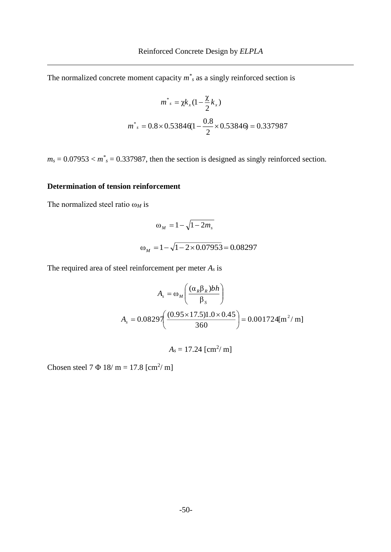The normalized concrete moment capacity  $m^*$  as a singly reinforced section is

$$
m^* = \chi k_x (1 - \frac{\chi}{2} k_x)
$$
  

$$
m^* = 0.8 \times 0.53846 (1 - \frac{0.8}{2} \times 0.53846) = 0.337987
$$

 $m_s = 0.07953 < m^*$ <sub>s</sub> = 0.337987, then the section is designed as singly reinforced section.

## **Determination of tension reinforcement**

The normalized steel ratio ω*<sup>M</sup>* is

$$
\omega_M = 1 - \sqrt{1 - 2m_s}
$$
  

$$
\omega_M = 1 - \sqrt{1 - 2 \times 0.07953} = 0.08297
$$

The required area of steel reinforcement per meter *A<sup>s</sup>* is

$$
A_s = \omega_M \left( \frac{(\alpha_R \beta_R) bh}{\beta_S} \right)
$$
  

$$
A_s = 0.0829 \left( \frac{(0.95 \times 17.5) 1.0 \times 0.45}{360} \right) = 0.001724 \text{ [m}^2/\text{ m]}
$$

$$
A_s=17.24~[\text{cm}^2/\text{m}]
$$

Chosen steel  $7 \Phi 18/m = 17.8$  [cm<sup>2</sup>/m]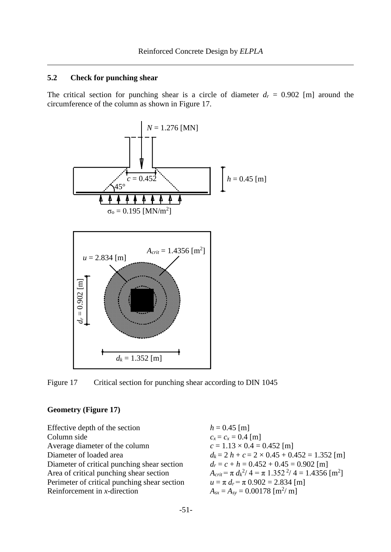The critical section for punching shear is a circle of diameter  $d_r = 0.902$  [m] around the circumference of the column as shown in [Figure 17.](#page-10-0)



<span id="page-10-0"></span>Figure 17 Critical section for punching shear according to DIN 1045

#### **Geometry [\(Figure 17\)](#page-10-0)**

Effective depth of the section  $h = 0.45$  [m] Column side  $c_x = c_x = 0.4$  [m] Average diameter of the column  $c = 1.13 \times 0.4 = 0.452$  [m] Diameter of critical punching shear section  $d_r = c + h = 0.452 + 0.45 = 0.902$  [m]  $Area of critical pumping shear section$ Perimeter of critical punching shear section  $u = \pi d_r = \pi 0.902 = 2.834$  [m] Reinforcement in *x*-direction

Diameter of loaded area  $d_k = 2 h + c = 2 \times 0.45 + 0.452 = 1.352$  [m]  $^{2}/4 = \pi$  1.352<sup>2</sup>/4 = 1.4356 [m<sup>2</sup>]  $A_{sx} = A_{sy} = 0.00178$  [m<sup>2</sup>/ m]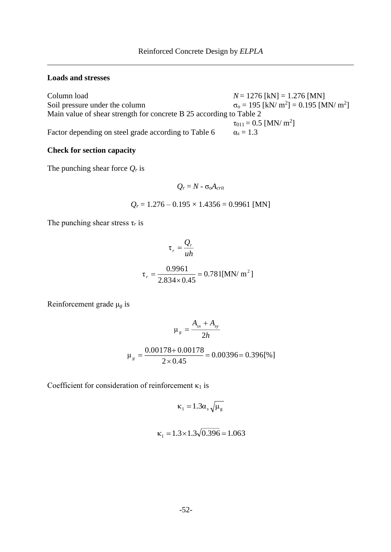#### **Loads and stresses**

Column load  $N = 1276$  [kN] = 1.276 [MN] Soil pressure under the column  $[$  = 0.195 [MN/ m<sup>2</sup>] Main value of shear strength for concrete B 25 according to Table 2  $\tau_{011} = 0.5$  [MN/ m<sup>2</sup>] Factor depending on steel grade according to Table 6  $\alpha_s = 1.3$ 

### **Check for section capacity**

The punching shear force *Q<sup>r</sup>* is

$$
Q_r = N - \sigma_0 A_{crit}
$$

$$
Q_r = 1.276 - 0.195 \times 1.4356 = 0.9961 \text{ [MN]}
$$

The punching shear stress  $\tau_r$  is

$$
\tau_r = \frac{Q_r}{uh}
$$

$$
\tau_r = \frac{0.9961}{2.834 \times 0.45} = 0.781 \text{[MN/m}^2\text{]}
$$

Reinforcement grade μ*<sup>g</sup>* is

$$
\mu_{g} = \frac{A_{sx} + A_{sy}}{2h}
$$

$$
\mu_{g} = \frac{0.00178 + 0.00178}{2 \times 0.45} = 0.00396 = 0.396[\%]
$$

Coefficient for consideration of reinforcement  $\kappa_1$  is

$$
\kappa_1 = 1.3 \alpha_s \sqrt{\mu_g}
$$

$$
\kappa_1 = 1.3 \times 1.3 \sqrt{0.396} = 1.063
$$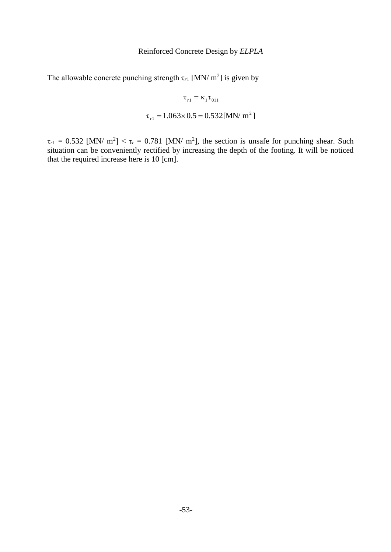The allowable concrete punching strength  $\tau_{r1}$  [MN/ m<sup>2</sup>] is given by

$$
\tau_{r1} = \kappa_1 \tau_{011}
$$
  

$$
\tau_{r1} = 1.063 \times 0.5 = 0.532 \text{ [MN/m}^2 \text{]}
$$

 $\tau_{r1} = 0.532$  [MN/ m<sup>2</sup>] <  $\tau_r = 0.781$  [MN/ m<sup>2</sup>], the section is unsafe for punching shear. Such situation can be conveniently rectified by increasing the depth of the footing. It will be noticed that the required increase here is 10 [cm].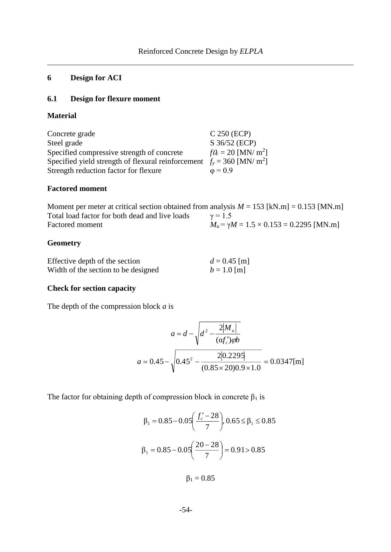# **6 Design for ACI**

## **6.1 Design for flexure moment**

#### **Material**

| Concrete grade                                                                       | $C$ 250 (ECP)                     |
|--------------------------------------------------------------------------------------|-----------------------------------|
| Steel grade                                                                          | S 36/52 (ECP)                     |
| Specified compressive strength of concrete                                           | $fQ_c = 20$ [MN/ m <sup>2</sup> ] |
| Specified yield strength of flexural reinforcement $f_y = 360$ [MN/ m <sup>2</sup> ] |                                   |
| Strength reduction factor for flexure                                                | $\varphi = 0.9$                   |

#### **Factored moment**

Moment per meter at critical section obtained from analysis  $M = 153$  [kN.m] = 0.153 [MN.m] Total load factor for both dead and live loads  $\gamma = 1.5$ Factored moment  $M_u = \gamma M = 1.5 \times 0.153 = 0.2295$  [MN.m]

#### **Geometry**

| Effective depth of the section      | $d = 0.45$ [m] |
|-------------------------------------|----------------|
| Width of the section to be designed | $b = 1.0$ [m]  |

### **Check for section capacity**

The depth of the compression block *a* is

$$
a = d - \sqrt{d^2 - \frac{2|M_u|}{(\alpha f_c')\varphi b}}
$$

$$
a = 0.45 - \sqrt{0.45^2 - \frac{2|0.2295|}{(0.85 \times 20)0.9 \times 1.0}} = 0.0347 \text{ [m]}
$$

The factor for obtaining depth of compression block in concrete  $\beta_1$  is

$$
\beta_1 = 0.85 - 0.05 \left( \frac{f_c' - 28}{7} \right), 0.65 \le \beta_1 \le 0.85
$$

$$
\beta_1 = 0.85 - 0.05 \left( \frac{20 - 28}{7} \right) = 0.91 > 0.85
$$

 $β<sub>1</sub> = 0.85$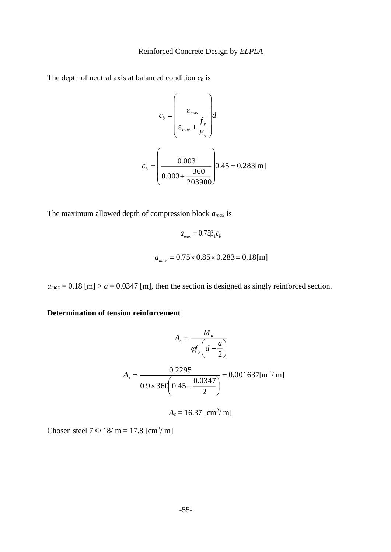The depth of neutral axis at balanced condition *c<sup>b</sup>* is

$$
c_b = \left(\frac{\varepsilon_{max}}{\varepsilon_{max} + \frac{f_y}{E_s}}\right) d
$$

$$
c_b = \left(\frac{0.003}{0.003 + \frac{360}{203900}}\right) 0.45 = 0.283 \text{ [m]}
$$

The maximum allowed depth of compression block *amax* is

$$
a_{max} = 0.75\beta_1 c_b
$$
  

$$
a_{max} = 0.75 \times 0.85 \times 0.283 = 0.18 \text{[m]}
$$

 $a_{max} = 0.18$  [m] >  $a = 0.0347$  [m], then the section is designed as singly reinforced section.

**Determination of tension reinforcement**

$$
A_s = \frac{M_u}{\varphi f_y \left(d - \frac{a}{2}\right)}
$$
  

$$
A_s = \frac{0.2295}{0.9 \times 360 \left(0.45 - \frac{0.0347}{2}\right)} = 0.001637 \text{ [m}^2/\text{ m]}
$$
  

$$
A_s = 16.37 \text{ [cm}^2/\text{ m]}
$$

Chosen steel 7  $\Phi$  18/ m = 17.8 [cm<sup>2</sup>/ m]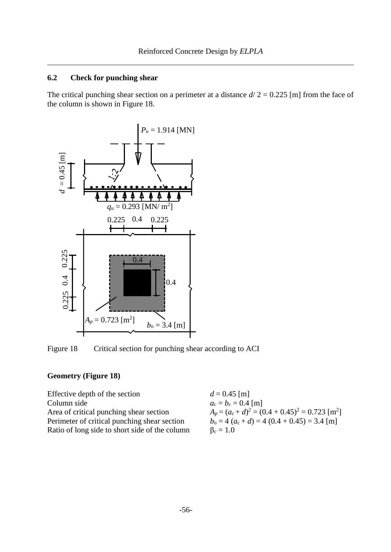The critical punching shear section on a perimeter at a distance  $d/2 = 0.225$  [m] from the face of the column is shown in [Figure 18.](#page-15-0)



<span id="page-15-0"></span>Figure 18 Critical section for punching shear according to ACI

# **Geometry [\(Figure 18\)](#page-15-0)**

| Effective depth of the section                 | $d = 0.45$ [m]                                                 |
|------------------------------------------------|----------------------------------------------------------------|
| Column side                                    | $a_c = b_c = 0.4$ [m]                                          |
| Area of critical punching shear section        | $A_p = (a_c + d)^2 = (0.4 + 0.45)^2 = 0.723$ [m <sup>2</sup> ] |
| Perimeter of critical punching shear section   | $b_0 = 4(a_c + d) = 4(0.4 + 0.45) = 3.4$ [m]                   |
| Ratio of long side to short side of the column | $\beta_c = 1.0$                                                |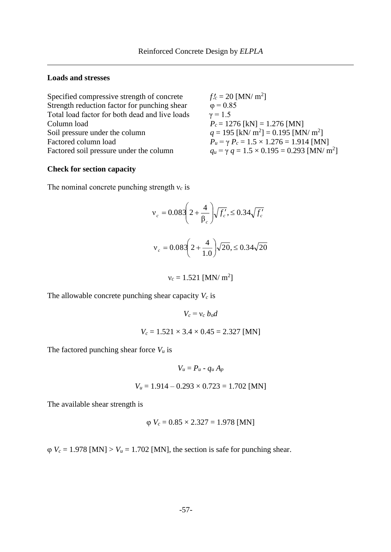## **Loads and stresses**

| Specified compressive strength of concrete     | $f_c = 20$ [MN/ m <sup>2</sup> ]                                  |
|------------------------------------------------|-------------------------------------------------------------------|
| Strength reduction factor for punching shear   | $\varphi = 0.85$                                                  |
| Total load factor for both dead and live loads | $\gamma = 1.5$                                                    |
| Column load                                    | $P_c = 1276$ [kN] = 1.276 [MN]                                    |
| Soil pressure under the column                 | $q = 195$ [kN/ m <sup>2</sup> ] = 0.195 [MN/ m <sup>2</sup> ]     |
| Factored column load                           | $P_u = \gamma P_c = 1.5 \times 1.276 = 1.914$ [MN]                |
| Factored soil pressure under the column        | $q_u = \gamma q = 1.5 \times 0.195 = 0.293$ [MN/ m <sup>2</sup> ] |

#### **Check for section capacity**

The nominal concrete punching strength ν*<sup>c</sup>* is

$$
v_c = 0.083 \left( 2 + \frac{4}{\beta_c} \right) \sqrt{f'_c}, \le 0.34 \sqrt{f'_c}
$$
  
 $v_c = 0.083 \left( 2 + \frac{4}{1.0} \right) \sqrt{20}, \le 0.34 \sqrt{20}$ 

 $v_c = 1.521$  [MN/ m<sup>2</sup>]

The allowable concrete punching shear capacity  $V_c$  is

$$
V_c = v_c \; b_0 d
$$

$$
V_c = 1.521 \times 3.4 \times 0.45 = 2.327
$$
 [MN]

The factored punching shear force *V<sup>u</sup>* is

$$
V_u = P_u - q_u A_p
$$

$$
V_u = 1.914 - 0.293 \times 0.723 = 1.702
$$
 [MN]

The available shear strength is

$$
\varphi
$$
 V<sub>c</sub> = 0.85 × 2.327 = 1.978 [MN]

 $\varphi$  *V<sub>c</sub>* = 1.978 [MN] > *V<sub>u</sub>* = 1.702 [MN], the section is safe for punching shear.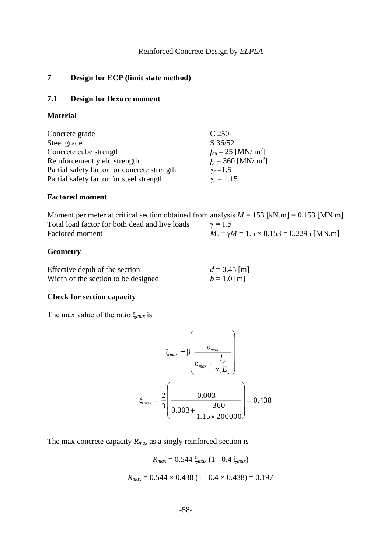# **7 Design for ECP (limit state method)**

## **7.1 Design for flexure moment**

#### **Material**

| Concrete grade                              | C <sub>250</sub>                    |
|---------------------------------------------|-------------------------------------|
| Steel grade                                 | $S \frac{36}{52}$                   |
| Concrete cube strength                      | $f_{cu} = 25$ [MN/ m <sup>2</sup> ] |
| Reinforcement yield strength                | $f_v = 360$ [MN/ m <sup>2</sup> ]   |
| Partial safety factor for concrete strength | $\gamma_c = 1.5$                    |
| Partial safety factor for steel strength    | $\gamma_s = 1.15$                   |

### **Factored moment**

Moment per meter at critical section obtained from analysis  $M = 153$  [kN.m] = 0.153 [MN.m] Total load factor for both dead and live loads  $\gamma = 1.5$ Factored moment  $M_u = \gamma M = 1.5 \times 0.153 = 0.2295$  [MN.m]

## **Geometry**

| Effective depth of the section      | $d = 0.45$ [m] |
|-------------------------------------|----------------|
| Width of the section to be designed | $b = 1.0$ [m]  |

#### **Check for section capacity**

The max value of the ratio ξ*max* is

$$
\xi_{max} = \beta \left( \frac{\varepsilon_{max}}{\varepsilon_{max} + \frac{f_y}{\gamma_s E_s}} \right)
$$

$$
\xi_{max} = \frac{2}{3} \left( \frac{0.003}{0.003 + \frac{360}{1.15 \times 200000}} \right) = 0.438
$$

The max concrete capacity *Rmax* as a singly reinforced section is

$$
R_{max} = 0.544 \xi_{max} (1 - 0.4 \xi_{max})
$$

$$
R_{max} = 0.544 \times 0.438 (1 - 0.4 \times 0.438) = 0.197
$$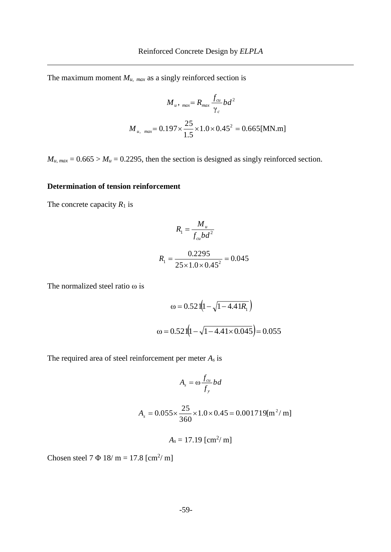The maximum moment  $M_{u, max}$  as a singly reinforced section is

$$
M_{u, \text{max}} = R_{\text{max}} \frac{f_{\text{cu}}}{\gamma_c} bd^2
$$

$$
M_{u, \text{max}} = 0.197 \times \frac{25}{1.5} \times 1.0 \times 0.45^2 = 0.665 \text{ [MN.m]}
$$

 $M_u$ ,  $_{max}$  = 0.665 >  $M_u$  = 0.2295, then the section is designed as singly reinforced section.

## **Determination of tension reinforcement**

The concrete capacity  $R_1$  is

$$
R_1 = \frac{M_u}{f_{cu}bd^2}
$$
  

$$
R_1 = \frac{0.2295}{25 \times 1.0 \times 0.45^2} = 0.045
$$

The normalized steel ratio ω is

$$
\omega = 0.521(1 - \sqrt{1 - 4.41R_1})
$$

$$
\omega = 0.521(1 - \sqrt{1 - 4.41 \times 0.045}) = 0.055
$$

The required area of steel reinforcement per meter *A<sup>s</sup>* is

$$
A_s = \omega \frac{f_{cu}}{f_y} bd
$$

$$
A_s = 0.055 \times \frac{25}{360} \times 1.0 \times 0.45 = 0.001719 \text{ [m}^2/\text{ m]}
$$

$$
A_s=17.19~\mathrm{[cm^2/m]}
$$

Chosen steel  $7 \Phi 18/m = 17.8$  [cm<sup>2</sup>/m]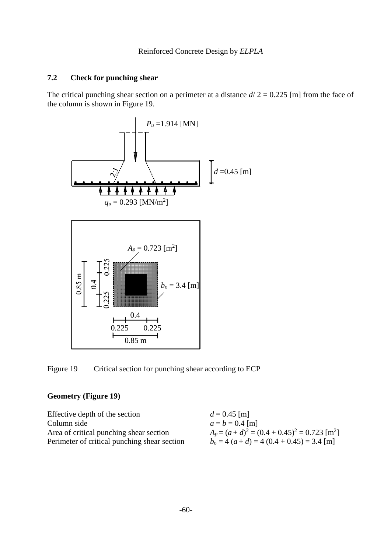The critical punching shear section on a perimeter at a distance  $d/2 = 0.225$  [m] from the face of the column is shown in [Figure 19.](#page-19-0)



<span id="page-19-0"></span>Figure 19 Critical section for punching shear according to ECP

### **Geometry [\(Figure 19\)](#page-19-0)**

| Effective depth of the section               | $d = 0.45$ [m]                                             |
|----------------------------------------------|------------------------------------------------------------|
| Column side                                  | $a = b = 0.4$ [m]                                          |
| Area of critical punching shear section      | $A_p = (a+d)^2 = (0.4 + 0.45)^2 = 0.723$ [m <sup>2</sup> ] |
| Perimeter of critical punching shear section | $b_0 = 4(a+d) = 4(0.4 + 0.45) = 3.4$ [m]                   |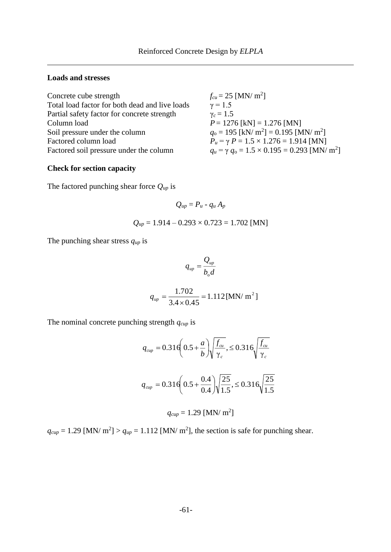### **Loads and stresses**

| $f_{cu} = 25$ [MN/ m <sup>2</sup> ]                                 |
|---------------------------------------------------------------------|
| $\gamma = 1.5$                                                      |
| $\gamma_c = 1.5$                                                    |
| $P = 1276$ [kN] = 1.276 [MN]                                        |
| $q_0 = 195$ [kN/ m <sup>2</sup> ] = 0.195 [MN/ m <sup>2</sup> ]     |
| $P_u = \gamma P = 1.5 \times 1.276 = 1.914$ [MN]                    |
| $q_u = \gamma q_0 = 1.5 \times 0.195 = 0.293$ [MN/ m <sup>2</sup> ] |
|                                                                     |

## **Check for section capacity**

The factored punching shear force *Qup* is

$$
Q_{up}=P_u-q_u A_p
$$

$$
Q_{up} = 1.914 - 0.293 \times 0.723 = 1.702
$$
 [MN]

The punching shear stress *qup* is

$$
q_{up} = \frac{Q_{up}}{b_{\rm o}d}
$$

$$
q_{up} = \frac{1.702}{3.4 \times 0.45} = 1.112 \, [\text{MN/ m}^2]
$$

The nominal concrete punching strength *qcup* is

$$
q_{\text{cup}} = 0.316 \left( 0.5 + \frac{a}{b} \right) \sqrt{\frac{f_{\text{cu}}}{\gamma_c}} ,\n\leq 0.316 \sqrt{\frac{f_{\text{cu}}}{\gamma_c}}
$$
\n
$$
q_{\text{cup}} = 0.316 \left( 0.5 + \frac{0.4}{0.4} \right) \sqrt{\frac{25}{1.5}} ,\n\leq 0.316 \sqrt{\frac{25}{1.5}}
$$
\n
$$
q_{\text{cup}} = 1.29 \text{ [MN/m}^2]
$$

 $q_{cup} = 1.29$  [MN/ m<sup>2</sup>] >  $q_{up} = 1.112$  [MN/ m<sup>2</sup>], the section is safe for punching shear.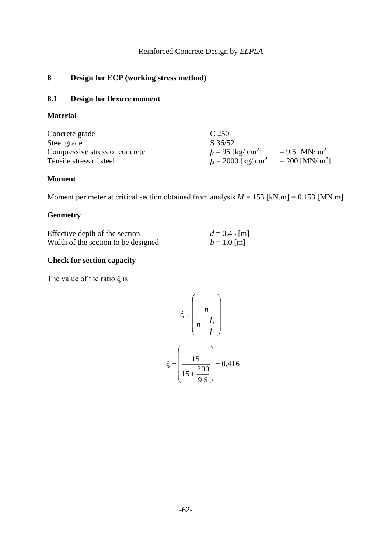# **8 Design for ECP (working stress method)**

# **8.1 Design for flexure moment**

## **Material**

| Concrete grade                 | C 250                                                           |                               |
|--------------------------------|-----------------------------------------------------------------|-------------------------------|
| Steel grade                    | $S \frac{36}{52}$                                               |                               |
| Compressive stress of concrete | $f_c = 95$ [kg/ cm <sup>2</sup> ]                               | $= 9.5$ [MN/ m <sup>2</sup> ] |
| Tensile stress of steel        | $f_s = 2000$ [kg/ cm <sup>2</sup> ] = 200 [MN/ m <sup>2</sup> ] |                               |

## **Moment**

Moment per meter at critical section obtained from analysis  $M = 153$  [kN.m] = 0.153 [MN.m]

# **Geometry**

| Effective depth of the section      | $d = 0.45$ [m] |
|-------------------------------------|----------------|
| Width of the section to be designed | $b = 1.0$ [m]  |

# **Check for section capacity**

The value of the ratio ξ is

$$
\xi = \left(\frac{n}{n + \frac{f_s}{f_c}}\right)
$$

$$
\xi = \left(\frac{15}{15 + \frac{200}{9.5}}\right) = 0.416
$$

9.5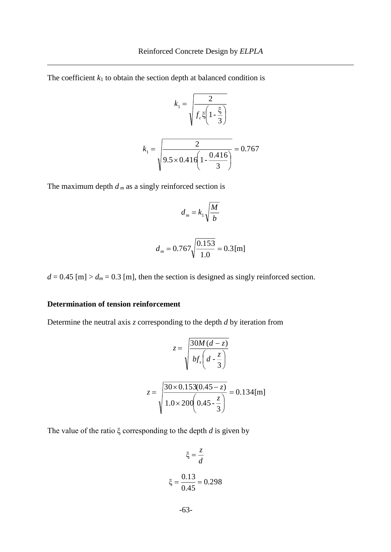The coefficient  $k_1$  to obtain the section depth at balanced condition is

$$
k_1 = \sqrt{\frac{2}{f_c \xi \left(1 - \frac{\xi}{3}\right)}}
$$

$$
k_1 = \sqrt{\frac{2}{9.5 \times 0.416 \left(1 - \frac{0.416}{3}\right)}} = 0.767
$$

The maximum depth  $d_m$  as a singly reinforced section is

$$
d_m = k_1 \sqrt{\frac{M}{b}}
$$

$$
d_m = 0.767 \sqrt{\frac{0.153}{1.0}} = 0.3 \,\mathrm{[m]}
$$

 $d = 0.45$  [m]  $> d_m = 0.3$  [m], then the section is designed as singly reinforced section.

### **Determination of tension reinforcement**

Determine the neutral axis *z* corresponding to the depth *d* by iteration from

$$
z = \sqrt{\frac{30M(d-z)}{b f_s \left(d - \frac{z}{3}\right)}}
$$

$$
z = \sqrt{\frac{30 \times 0.153(0.45 - z)}{1.0 \times 200 \left(0.45 - \frac{z}{3}\right)}} = 0.134 \,\text{[m]}
$$

The value of the ratio ξ corresponding to the depth *d* is given by

$$
\xi = \frac{z}{d}
$$

$$
\xi = \frac{0.13}{0.45} = 0.298
$$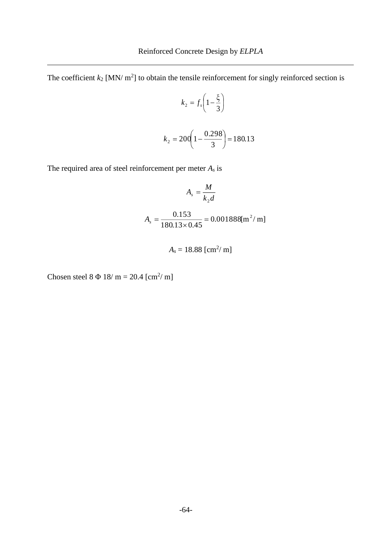The coefficient  $k_2$  [MN/  $m^2$ ] to obtain the tensile reinforcement for singly reinforced section is

$$
k_2 = f_s \left( 1 - \frac{\xi}{3} \right)
$$

$$
k_2 = 200 \left( 1 - \frac{0.298}{3} \right) = 180.13
$$

The required area of steel reinforcement per meter *A<sup>s</sup>* is

$$
A_s = \frac{M}{k_2 d}
$$
  

$$
A_s = \frac{0.153}{180.13 \times 0.45} = 0.001888 \text{ [m}^2/\text{ m]}
$$

$$
A_s = 18.88 \text{ [cm}^2/\text{ m]}
$$

Chosen steel  $8 \Phi 18/m = 20.4$  [cm<sup>2</sup>/m]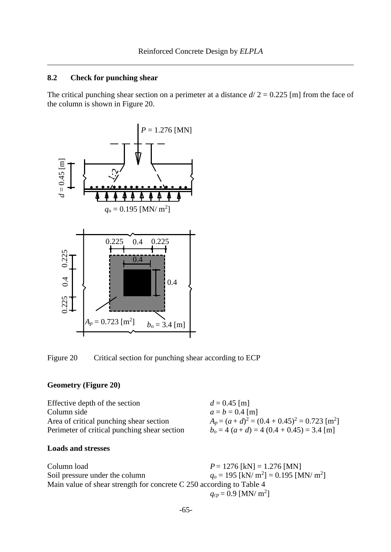The critical punching shear section on a perimeter at a distance  $d/2 = 0.225$  [m] from the face of the column is shown in [Figure 20.](#page-24-0)



<span id="page-24-0"></span>Figure 20 Critical section for punching shear according to ECP

#### **Geometry [\(Figure 20\)](#page-24-0)**

| Effective depth of the section               | $d = 0.45$ [m]                                             |
|----------------------------------------------|------------------------------------------------------------|
| Column side                                  | $a = b = 0.4$ [m]                                          |
| Area of critical punching shear section      | $A_p = (a+d)^2 = (0.4 + 0.45)^2 = 0.723$ [m <sup>2</sup> ] |
| Perimeter of critical punching shear section | $b_0 = 4 (a+d) = 4 (0.4 + 0.45) = 3.4$ [m]                 |
|                                              |                                                            |

#### **Loads and stresses**

| Column load                                                          | $P = 1276$ [kN] = 1.276 [MN]                                    |
|----------------------------------------------------------------------|-----------------------------------------------------------------|
| Soil pressure under the column                                       | $q_0 = 195$ [kN/ m <sup>2</sup> ] = 0.195 [MN/ m <sup>2</sup> ] |
| Main value of shear strength for concrete C 250 according to Table 4 |                                                                 |
|                                                                      | $q_{cp} = 0.9$ [MN/ m <sup>2</sup> ]                            |